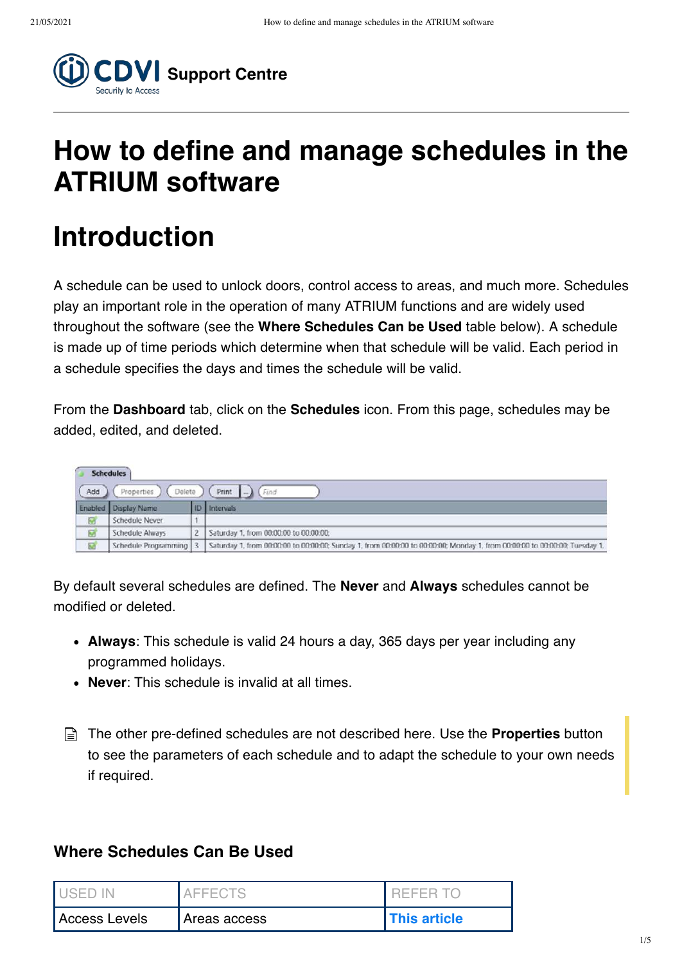

# **How to define and manage schedules in the ATRIUM software**

# **Introduction**

A schedule can be used to unlock doors, control access to areas, and much more. Schedules play an important role in the operation of many ATRIUM functions and are widely used throughout the software (see the **Where Schedules Can be Used** table below). A schedule is made up of time periods which determine when that schedule will be valid. Each period in a schedule specifies the days and times the schedule will be valid.

From the **Dashboard** tab, click on the **Schedules** icon. From this page, schedules may be added, edited, and deleted.

|     | <b>Schedules</b>     |                |                                                                                                                             |
|-----|----------------------|----------------|-----------------------------------------------------------------------------------------------------------------------------|
| Add | Properties<br>Delete |                | Print<br>Find                                                                                                               |
|     | Enabled Display Name |                | <b>ID</b> Intervals                                                                                                         |
| Ω   | Schedule Never       |                |                                                                                                                             |
| Ø   | Schedule Always      | $\overline{2}$ | Saturday 1, from 00:00:00 to 00:00:00;                                                                                      |
| Ø   | Schedule Programming | з              | Saturday 1, from 00:00:00 to 00:00:00; Sunday 1, from 00:00:00 to 00:00:00; Monday 1, from 00:00:00 to 00:00:00; Tuesday 1, |

By default several schedules are defined. The **Never** and **Always** schedules cannot be modified or deleted.

- **Always**: This schedule is valid 24 hours a day, 365 days per year including any programmed holidays.
- **Never**: This schedule is invalid at all times.
- The other pre-defined schedules are not described here. Use the **Properties** button to see the parameters of each schedule and to adapt the schedule to your own needs if required.

#### **Where Schedules Can Be Used**

| LLISED IN            | AFFF(;IS     | -----               |
|----------------------|--------------|---------------------|
| <b>Access Levels</b> | Areas access | <b>This article</b> |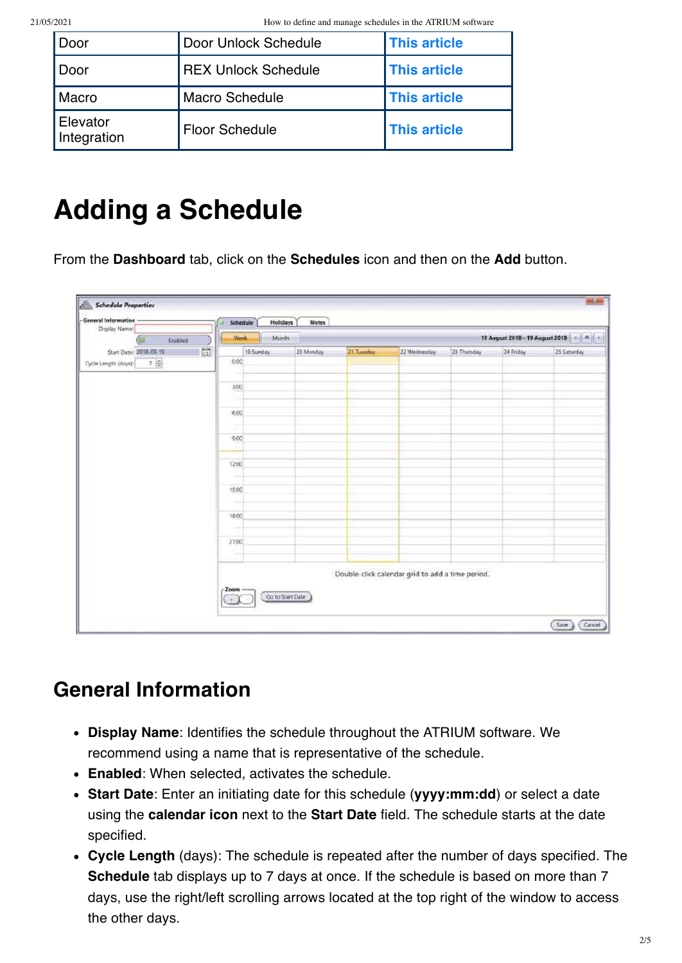21/05/2021 How to define and manage schedules in the ATRIUM software

| Door                    | Door Unlock Schedule       | <b>This article</b> |
|-------------------------|----------------------------|---------------------|
| l Door                  | <b>REX Unlock Schedule</b> | <b>This article</b> |
| <b>Macro</b>            | <b>Macro Schedule</b>      | <b>This article</b> |
| Elevator<br>Integration | <b>Floor Schedule</b>      | <b>This article</b> |

# **Adding a Schedule**

From the **Dashboard** tab, click on the **Schedules** icon and then on the **Add** button.

| <b>General Information</b><br>Display Name: | <b>Notes</b><br>Schedule<br>Holidays |                                                              |            |                                                  |             |           |             |
|---------------------------------------------|--------------------------------------|--------------------------------------------------------------|------------|--------------------------------------------------|-------------|-----------|-------------|
| ⋐<br>Enabled                                |                                      | 19 August 2018 - 19 August 2018   4   8   +<br>Week<br>Month |            |                                                  |             |           |             |
| $\overline{u}$<br>Start Date: 2018-08-19    | 19 Sunday                            | 20 Monday                                                    | 21 Tuesday | 22 Wednesday                                     | 23 Thursday | 24 Friday | 25 Saturday |
| $7 =$<br>Cycle Length (duyc):               | 0.00                                 |                                                              |            |                                                  |             |           |             |
|                                             |                                      |                                                              |            |                                                  |             |           |             |
|                                             | 300                                  |                                                              |            |                                                  |             |           |             |
|                                             |                                      |                                                              |            |                                                  |             |           |             |
|                                             | 6:00                                 |                                                              |            |                                                  |             |           |             |
|                                             |                                      |                                                              |            |                                                  |             |           |             |
|                                             | 9:00                                 |                                                              |            |                                                  |             |           |             |
|                                             |                                      |                                                              |            |                                                  |             |           |             |
|                                             | 12:00                                |                                                              |            |                                                  |             |           |             |
|                                             |                                      |                                                              |            |                                                  |             |           |             |
|                                             | 15:00                                |                                                              |            |                                                  |             |           |             |
|                                             |                                      |                                                              |            |                                                  |             |           |             |
|                                             | 18:00                                |                                                              |            |                                                  |             |           |             |
|                                             |                                      |                                                              |            |                                                  |             |           |             |
|                                             |                                      |                                                              |            |                                                  |             |           |             |
|                                             | 21:00                                |                                                              |            |                                                  |             |           |             |
|                                             |                                      |                                                              |            |                                                  |             |           |             |
|                                             |                                      |                                                              |            | Double-click calendar grid to add a time period. |             |           |             |
|                                             |                                      |                                                              |            |                                                  |             |           |             |
|                                             | Zoom                                 |                                                              |            |                                                  |             |           |             |
|                                             |                                      | Go to Start Date                                             |            |                                                  |             |           |             |

## **General Information**

- **Display Name**: Identifies the schedule throughout the ATRIUM software. We recommend using a name that is representative of the schedule.
- **Enabled**: When selected, activates the schedule.
- **Start Date**: Enter an initiating date for this schedule (**yyyy:mm:dd**) or select a date using the **calendar icon** next to the **Start Date** field. The schedule starts at the date specified.
- **Cycle Length** (days): The schedule is repeated after the number of days specified. The **Schedule** tab displays up to 7 days at once. If the schedule is based on more than 7 days, use the right/left scrolling arrows located at the top right of the window to access the other days.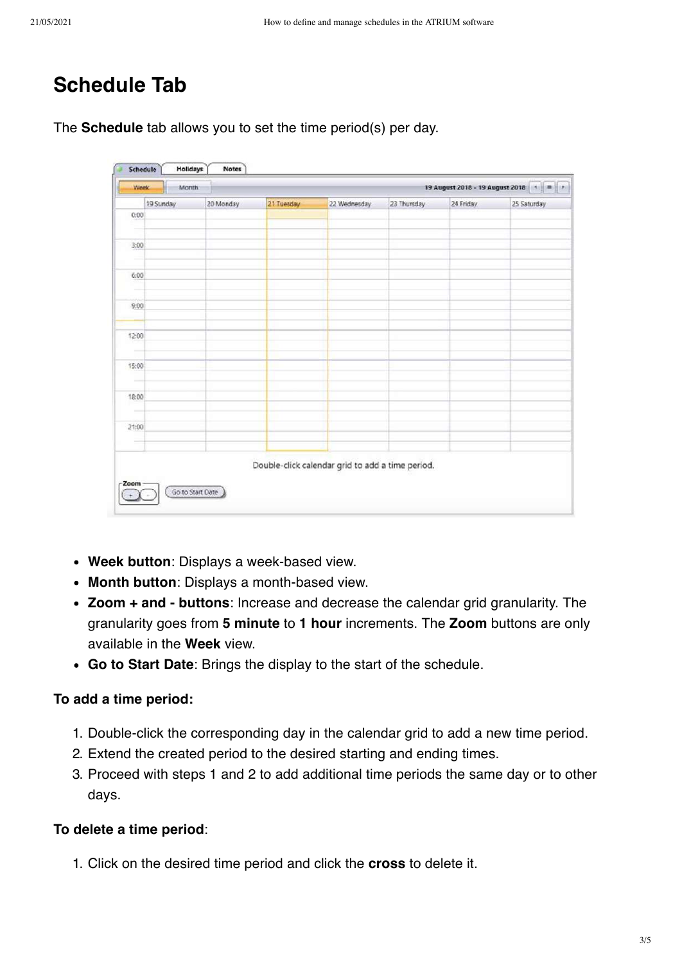## **Schedule Tab**

|       | 19 Sunday | 20 Monday | 21 Tuesday | 22 Wednesday                                     | 23 Thursday | 24 Friday | 25 Saturday |
|-------|-----------|-----------|------------|--------------------------------------------------|-------------|-----------|-------------|
|       |           |           |            |                                                  |             |           |             |
| 0:00  |           |           |            |                                                  |             |           |             |
|       |           |           |            |                                                  |             |           |             |
| 3:00  |           |           |            |                                                  |             |           |             |
|       |           |           |            |                                                  |             |           |             |
|       |           |           |            |                                                  |             |           |             |
| 6:00  |           |           |            |                                                  |             |           |             |
|       |           |           |            |                                                  |             |           |             |
|       |           |           |            |                                                  |             |           |             |
| 9:00  |           |           |            |                                                  |             |           |             |
|       |           |           |            |                                                  |             |           |             |
|       |           |           |            |                                                  |             |           |             |
| 12:00 |           |           |            |                                                  |             |           |             |
|       |           |           |            |                                                  |             |           |             |
|       |           |           |            |                                                  |             |           |             |
| 15:00 |           |           |            |                                                  |             |           |             |
|       |           |           |            |                                                  |             |           |             |
| 18:00 |           |           |            |                                                  |             |           |             |
|       |           |           |            |                                                  |             |           |             |
|       |           |           |            |                                                  |             |           |             |
| 21:00 |           |           |            |                                                  |             |           |             |
|       |           |           |            |                                                  |             |           |             |
|       |           |           |            |                                                  |             |           |             |
|       |           |           |            |                                                  |             |           |             |
|       |           |           |            | Double-click calendar grid to add a time period. |             |           |             |
|       |           |           |            |                                                  |             |           |             |

The **Schedule** tab allows you to set the time period(s) per day.

- **Week button**: Displays a week-based view.
- **Month button**: Displays a month-based view.
- **Zoom + and - buttons**: Increase and decrease the calendar grid granularity. The granularity goes from **5 minute** to **1 hour** increments. The **Zoom** buttons are only available in the **Week** view.
- **Go to Start Date**: Brings the display to the start of the schedule.

#### **To add a time period:**

- 1. Double-click the corresponding day in the calendar grid to add a new time period.
- 2. Extend the created period to the desired starting and ending times.
- 3. Proceed with steps 1 and 2 to add additional time periods the same day or to other days.

#### **To delete a time period**:

1. Click on the desired time period and click the **cross** to delete it.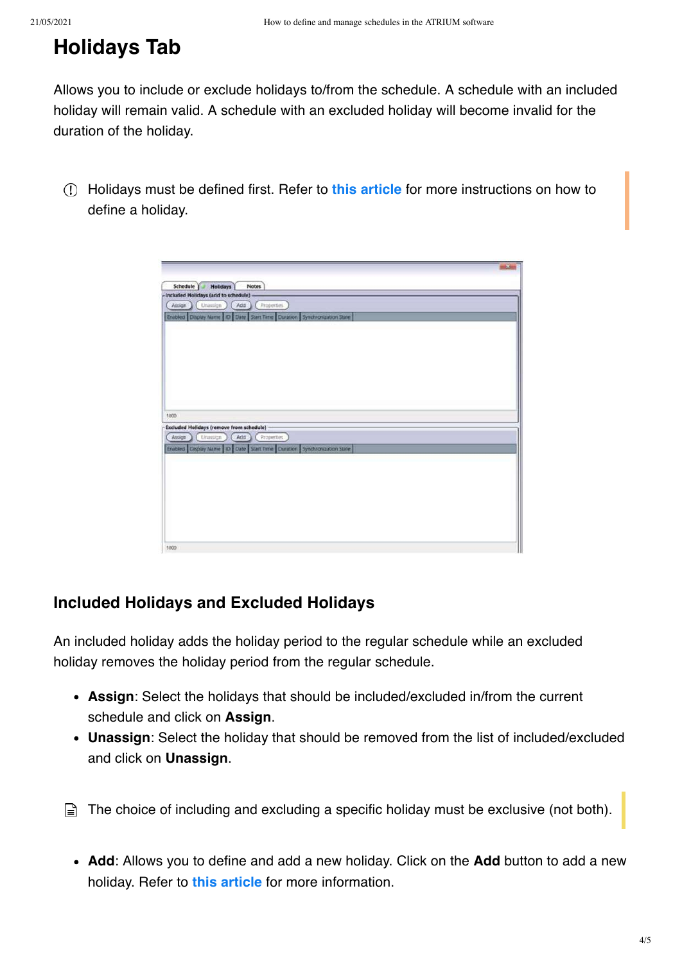## **Holidays Tab**

Allows you to include or exclude holidays to/from the schedule. A schedule with an included holiday will remain valid. A schedule with an excluded holiday will become invalid for the duration of the holiday.

Holidays must be defined first. Refer to **this [article](https://support.cdvi.co.uk/portal/en/kb/articles/how-to-define)** for more instructions on how to define a holiday.

| $-2$                                                                                    |
|-----------------------------------------------------------------------------------------|
|                                                                                         |
| Schedule  <br><b>Notes</b><br><b>Holidays</b>                                           |
| - Included Holidays (add to schedule)<br>Add<br><b>Properties</b><br>Assign<br>Unaccign |
|                                                                                         |
| Enabled Display Name 1D Date Start Time Duration Synchronization State                  |
|                                                                                         |
|                                                                                         |
|                                                                                         |
|                                                                                         |
|                                                                                         |
|                                                                                         |
|                                                                                         |
|                                                                                         |
| 1000                                                                                    |
| Excluded Holidays (remove from schedule)                                                |
| Assign<br>tinassign<br>Add<br><b>Properties</b>                                         |
| Enabled   Display Name   ID   Date   Start Time   Duration   Synchronization State      |
|                                                                                         |
|                                                                                         |
|                                                                                         |
|                                                                                         |
|                                                                                         |
|                                                                                         |
|                                                                                         |
|                                                                                         |
|                                                                                         |
| 1000                                                                                    |

### **Included Holidays and Excluded Holidays**

An included holiday adds the holiday period to the regular schedule while an excluded holiday removes the holiday period from the regular schedule.

- **Assign**: Select the holidays that should be included/excluded in/from the current schedule and click on **Assign**.
- **Unassign**: Select the holiday that should be removed from the list of included/excluded and click on **Unassign**.
- $\Box$  The choice of including and excluding a specific holiday must be exclusive (not both).
	- **Add**: Allows you to define and add a new holiday. Click on the **Add** button to add a new holiday. Refer to **this [article](https://support.cdvi.co.uk/portal/en/kb/articles/how-to-define)** for more information.